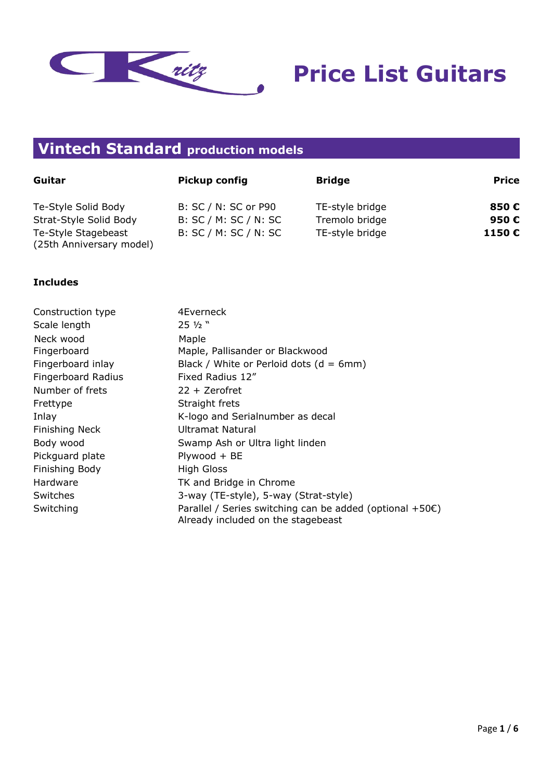

## **Vintech Standard production models**

| Guitar                                          | <b>Pickup config</b>  | <b>Bridge</b>   | <b>Price</b> |
|-------------------------------------------------|-----------------------|-----------------|--------------|
| Te-Style Solid Body                             | B: SC / N: SC or P90  | TE-style bridge | 850€         |
| Strat-Style Solid Body                          | B: SC / M: SC / N: SC | Tremolo bridge  | 950€         |
| Te-Style Stagebeast<br>(25th Anniversary model) | B: SC / M: SC / N: SC | TE-style bridge | 1150€        |

#### **Includes**

| Construction type     | 4Everneck                                                                                                |
|-----------------------|----------------------------------------------------------------------------------------------------------|
| Scale length          | $25\frac{1}{2}$                                                                                          |
| Neck wood             | Maple                                                                                                    |
| Fingerboard           | Maple, Pallisander or Blackwood                                                                          |
| Fingerboard inlay     | Black / White or Perloid dots $(d = 6$ mm)                                                               |
| Fingerboard Radius    | Fixed Radius 12"                                                                                         |
| Number of frets       | $22 +$ Zerofret                                                                                          |
| Frettype              | Straight frets                                                                                           |
| Inlay                 | K-logo and Serialnumber as decal                                                                         |
| <b>Finishing Neck</b> | Ultramat Natural                                                                                         |
| Body wood             | Swamp Ash or Ultra light linden                                                                          |
| Pickguard plate       | $Plywood + BE$                                                                                           |
| Finishing Body        | <b>High Gloss</b>                                                                                        |
| Hardware              | TK and Bridge in Chrome                                                                                  |
| Switches              | 3-way (TE-style), 5-way (Strat-style)                                                                    |
| Switching             | Parallel / Series switching can be added (optional $+50\epsilon$ )<br>Already included on the stagebeast |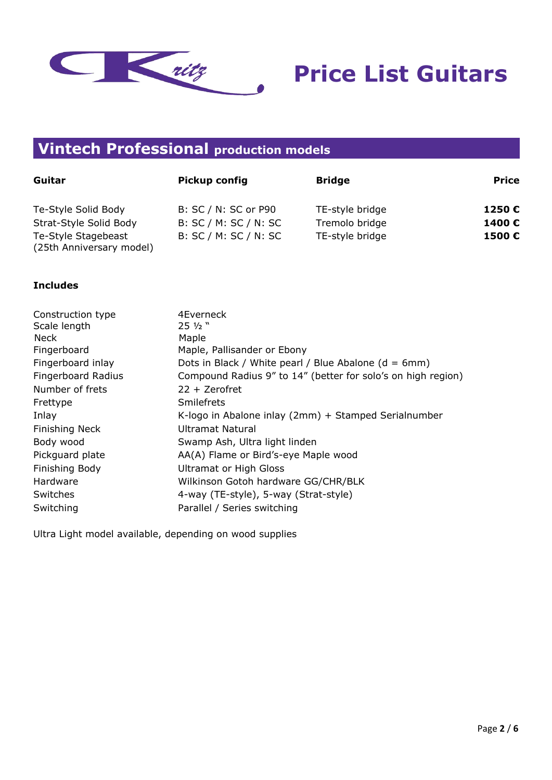

### **Vintech Professional production models**

| Guitar                                          | <b>Pickup config</b>  | <b>Bridge</b>   | <b>Price</b> |
|-------------------------------------------------|-----------------------|-----------------|--------------|
| Te-Style Solid Body                             | B: SC / N: SC or P90  | TE-style bridge | 1250€        |
| Strat-Style Solid Body                          | B: SC / M: SC / N: SC | Tremolo bridge  | 1400€        |
| Te-Style Stagebeast<br>(25th Anniversary model) | B: SC / M: SC / N: SC | TE-style bridge | 1500€        |

#### **Includes**

| Construction type<br>Scale length | 4Everneck<br>$25\frac{1}{2}$                                 |
|-----------------------------------|--------------------------------------------------------------|
| <b>Neck</b>                       | Maple                                                        |
| Fingerboard                       | Maple, Pallisander or Ebony                                  |
| Fingerboard inlay                 | Dots in Black / White pearl / Blue Abalone ( $d = 6$ mm)     |
| Fingerboard Radius                | Compound Radius 9" to 14" (better for solo's on high region) |
| Number of frets                   | $22 +$ Zerofret                                              |
| Frettype                          | Smilefrets                                                   |
| Inlay                             | K-logo in Abalone inlay (2mm) + Stamped Serialnumber         |
| <b>Finishing Neck</b>             | Ultramat Natural                                             |
| Body wood                         | Swamp Ash, Ultra light linden                                |
| Pickguard plate                   | AA(A) Flame or Bird's-eye Maple wood                         |
| Finishing Body                    | <b>Ultramat or High Gloss</b>                                |
| Hardware                          | Wilkinson Gotoh hardware GG/CHR/BLK                          |
| Switches                          | 4-way (TE-style), 5-way (Strat-style)                        |
| Switching                         | Parallel / Series switching                                  |

Ultra Light model available, depending on wood supplies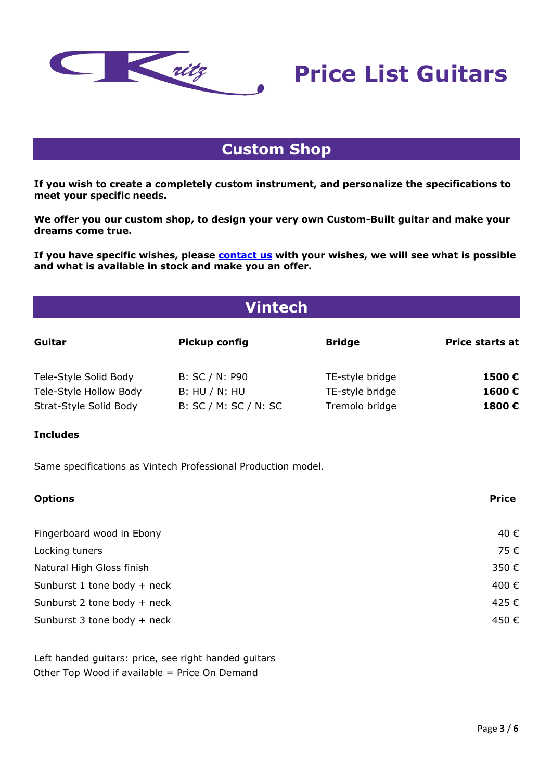

### **Custom Shop**

**If you wish to create a completely custom instrument, and personalize the specifications to meet your specific needs.** 

**We offer you our custom shop, to design your very own Custom-Built guitar and make your dreams come true.**

**If you have specific wishes, please [contact us](https://www.kritz.com/general-info/contact/) with your wishes, we will see what is possible and what is available in stock and make you an offer.**

### **Vintech**

| Guitar                 | <b>Pickup config</b>  | <b>Bridge</b>   | <b>Price starts at</b> |
|------------------------|-----------------------|-----------------|------------------------|
| Tele-Style Solid Body  | B: SC / N: P90        | TE-style bridge | 1500€                  |
| Tele-Style Hollow Body | <b>B: HU / N: HU</b>  | TE-style bridge | 1600€                  |
| Strat-Style Solid Body | B: SC / M: SC / N: SC | Tremolo bridge  | 1800€                  |

#### **Includes**

Same specifications as Vintech Professional Production model.

| <b>Options</b>              | <b>Price</b> |
|-----------------------------|--------------|
| Fingerboard wood in Ebony   | 40€          |
| Locking tuners              | 75€          |
| Natural High Gloss finish   | 350€         |
| Sunburst 1 tone body + neck | 400€         |
| Sunburst 2 tone body + neck | 425€         |
| Sunburst 3 tone body + neck | 450€         |

Left handed guitars: price, see right handed guitars Other Top Wood if available = Price On Demand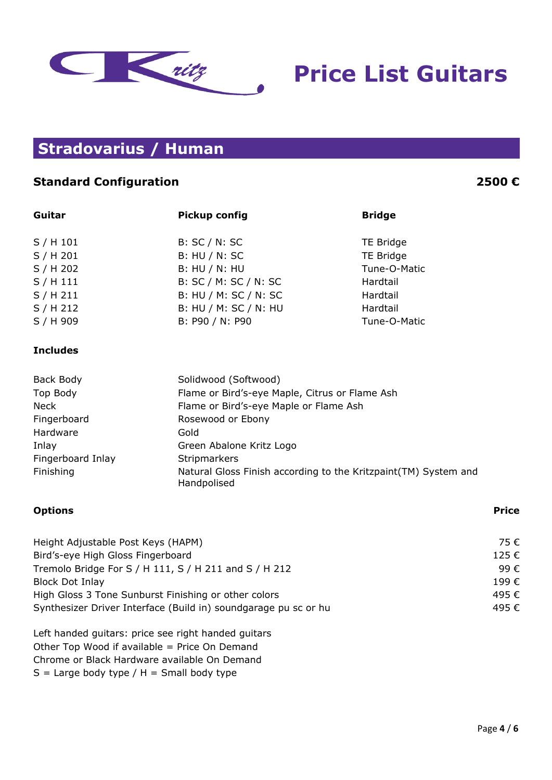### **Stradovarius / Human**

#### **Standard Configuration 2500 €**

| Guitar          | <b>Pickup config</b>  | <b>Bridge</b> |
|-----------------|-----------------------|---------------|
|                 |                       |               |
| S / H 101       | B: SC / N: SC         | TE Bridge     |
| S / H 201       | $B$ : HU / N: SC      | TE Bridge     |
| S / H 202       | <b>B: HU / N: HU</b>  | Tune-O-Matic  |
| S/H111          | B: SC / M: SC / N: SC | Hardtail      |
| S/H211          | B: HU / M: SC / N: SC | Hardtail      |
| S / H 212       | B: HU / M: SC / N: HU | Hardtail      |
| S / H 909       | B: P90 / N: P90       | Tune-O-Matic  |
|                 |                       |               |
| <b>Includes</b> |                       |               |

| Back Body         | Solidwood (Softwood)                                                           |
|-------------------|--------------------------------------------------------------------------------|
| Top Body          | Flame or Bird's-eye Maple, Citrus or Flame Ash                                 |
| <b>Neck</b>       | Flame or Bird's-eye Maple or Flame Ash                                         |
| Fingerboard       | Rosewood or Ebony                                                              |
| Hardware          | Gold                                                                           |
| Inlay             | Green Abalone Kritz Logo                                                       |
| Fingerboard Inlay | Stripmarkers                                                                   |
| Finishing         | Natural Gloss Finish according to the Kritzpaint(TM) System and<br>Handpolised |

#### **Options Price**

| Height Adjustable Post Keys (HAPM)                              | 75 €. |
|-----------------------------------------------------------------|-------|
| Bird's-eye High Gloss Fingerboard                               | 125 € |
| Tremolo Bridge For S / H 111, S / H 211 and S / H 212           | 99€   |
| <b>Block Dot Inlay</b>                                          | 199€  |
| High Gloss 3 Tone Sunburst Finishing or other colors            | 495 € |
| Synthesizer Driver Interface (Build in) soundgarage pu sc or hu | 495 € |

Left handed guitars: price see right handed guitars Other Top Wood if available = Price On Demand Chrome or Black Hardware available On Demand  $S =$  Large body type / H = Small body type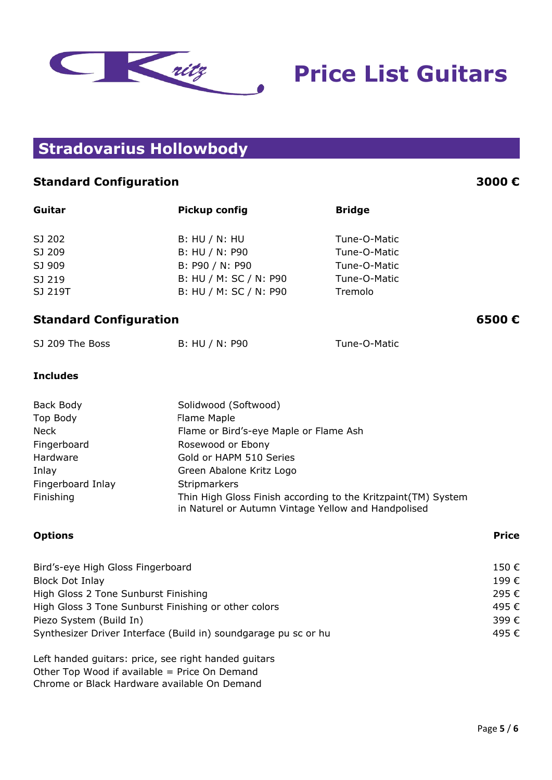# **Stradovarius Hollowbody**

### **Standard Configuration 3000 €**

| Guitar                                                          | <b>Pickup config</b>                                                                                                 | <b>Bridge</b> |              |
|-----------------------------------------------------------------|----------------------------------------------------------------------------------------------------------------------|---------------|--------------|
| SJ 202                                                          | <b>B: HU / N: HU</b>                                                                                                 | Tune-O-Matic  |              |
| SJ 209                                                          | B: HU / N: P90                                                                                                       | Tune-O-Matic  |              |
| SJ 909                                                          | B: P90 / N: P90                                                                                                      | Tune-O-Matic  |              |
| SJ 219                                                          | B: HU / M: SC / N: P90                                                                                               | Tune-O-Matic  |              |
| SJ 219T                                                         | B: HU / M: SC / N: P90                                                                                               | Tremolo       |              |
| <b>Standard Configuration</b>                                   |                                                                                                                      |               | 6500€        |
| SJ 209 The Boss                                                 | B: HU / N: P90                                                                                                       | Tune-O-Matic  |              |
| <b>Includes</b>                                                 |                                                                                                                      |               |              |
| Back Body                                                       | Solidwood (Softwood)                                                                                                 |               |              |
| <b>Top Body</b>                                                 | Flame Maple                                                                                                          |               |              |
| <b>Neck</b>                                                     | Flame or Bird's-eye Maple or Flame Ash                                                                               |               |              |
| Fingerboard                                                     | Rosewood or Ebony                                                                                                    |               |              |
| Hardware                                                        | Gold or HAPM 510 Series                                                                                              |               |              |
| Inlay                                                           | Green Abalone Kritz Logo                                                                                             |               |              |
| Fingerboard Inlay                                               | Stripmarkers                                                                                                         |               |              |
| Finishing                                                       | Thin High Gloss Finish according to the Kritzpaint(TM) System<br>in Naturel or Autumn Vintage Yellow and Handpolised |               |              |
| <b>Options</b>                                                  |                                                                                                                      |               | <b>Price</b> |
| Bird's-eye High Gloss Fingerboard                               |                                                                                                                      |               | 150€         |
| <b>Block Dot Inlay</b>                                          |                                                                                                                      |               | 199€         |
| High Gloss 2 Tone Sunburst Finishing                            |                                                                                                                      |               | 295€         |
|                                                                 | High Gloss 3 Tone Sunburst Finishing or other colors                                                                 |               |              |
| Piezo System (Build In)                                         |                                                                                                                      |               | 399€         |
| Synthesizer Driver Interface (Build in) soundgarage pu sc or hu |                                                                                                                      |               | 495€         |

Left handed guitars: price, see right handed guitars Other Top Wood if available = Price On Demand Chrome or Black Hardware available On Demand

**Price List Guitars**